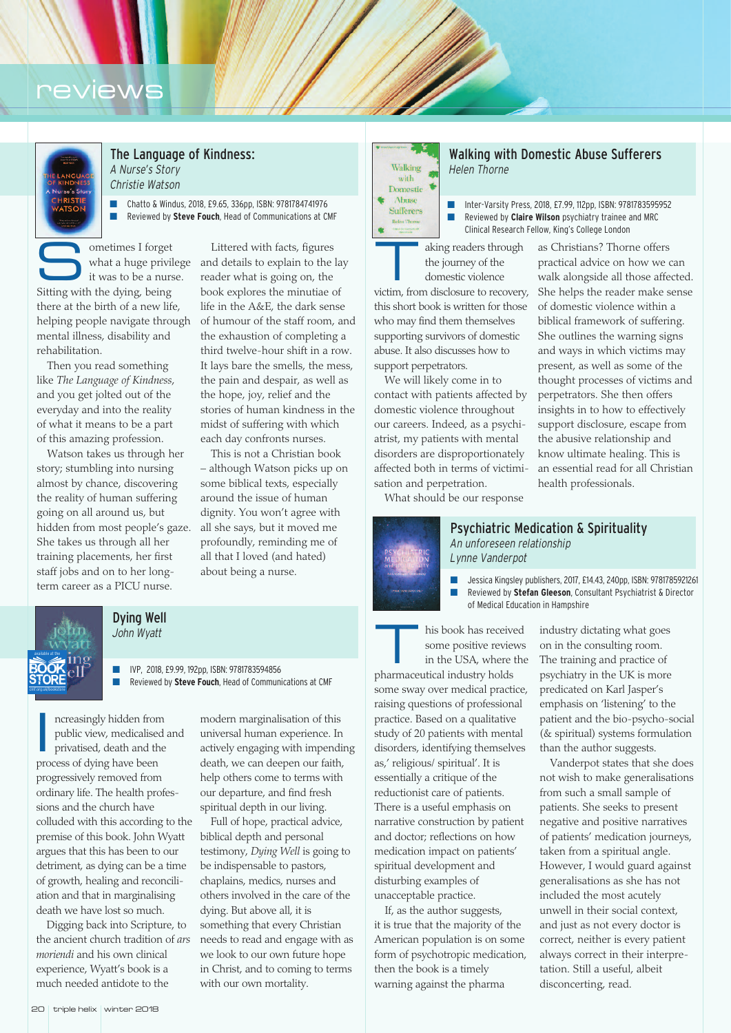



#### The Language of Kindness: *A Nurse's Story Christie Watson*

 Chatto & Windus, 2018, £9.65, 336pp, ISBN: 9781784741976 Reviewed by **Steve Fouch**, Head of Communications at CMF

Sometimes I forget<br>
Sometimes I forget<br>
it was to be a num what a huge privilege it was to be a nurse. Sitting with the dying, being there at the birth of a new life, helping people navigate through mental illness, disability and rehabilitation.

Then you read something like *The Language of Kindness*, and you get jolted out of the everyday and into the reality of what it means to be a part of this amazing profession.

Watson takes us through her story; stumbling into nursing almost by chance, discovering the reality of human suffering going on all around us, but hidden from most people's gaze. She takes us through all her training placements, her first staff jobs and on to her longterm career as a PICU nurse.

Littered with facts, figures and details to explain to the lay reader what is going on, the book explores the minutiae of life in the A&E, the dark sense of humour of the staff room, and the exhaustion of completing a third twelve-hour shift in a row. It lays bare the smells, the mess, the pain and despair, as well as the hope, joy, relief and the stories of human kindness in the midst of suffering with which each day confronts nurses.

This is not a Christian book – although Watson picks up on some biblical texts, especially around the issue of human dignity. You won't agree with all she says, but it moved me profoundly, reminding me of all that I loved (and hated) about being a nurse.

#### **BOOK STORE** cmf.org.uk/bookstore available at the

Dying Well *John Wyatt*

IVP, 2018, £9.99, 192pp, ISBN: 9781783594856 Reviewed by **Steve Fouch**, Head of Communications at CMF

I ncreasingly hidden from public view, medicalised and privatised, death and the process of dying have been progressively removed from ordinary life. The health professions and the church have colluded with this according to the premise of this book. John Wyatt argues that this has been to our detriment, as dying can be a time of growth, healing and reconciliation and that in marginalising death we have lost so much.

Digging back into Scripture, to the ancient church tradition of *ars moriendi* and his own clinical experience, Wyatt's book is a much needed antidote to the

modern marginalisation of this universal human experience. In actively engaging with impending death, we can deepen our faith, help others come to terms with our departure, and find fresh spiritual depth in our living.

Full of hope, practical advice, biblical depth and personal testimony, *Dying Well* is going to be indispensable to pastors, chaplains, medics, nurses and others involved in the care of the dying. But above all, it is something that every Christian needs to read and engage with as we look to our own future hope in Christ, and to coming to terms with our own mortality.

#### Walking with Domestic Abuse Sufferers

#### Walking with Domestic Abuse Sufferers *Helen Thorne*

 Inter-Varsity Press, 2018, £7.99, 112pp, ISBN: 9781783595952 Reviewed by **Claire Wilson** psychiatry trainee and MRC Clinical Research Fellow, King's College London

aking readers through the journey of the domestic violence

victim, from disclosure to recovery, this short book is written for those who may find them themselves supporting survivors of domestic abuse. It also discusses how to support perpetrators.

We will likely come in to contact with patients affected by domestic violence throughout our careers. Indeed, as a psychiatrist, my patients with mental disorders are disproportionately affected both in terms of victimisation and perpetration.

as Christians? Thorne offers practical advice on how we can walk alongside all those affected. She helps the reader make sense of domestic violence within a biblical framework of suffering. She outlines the warning signs and ways in which victims may present, as well as some of the thought processes of victims and perpetrators. She then offers insights in to how to effectively support disclosure, escape from the abusive relationship and know ultimate healing. This is an essential read for all Christian health professionals.

What should be our response



#### Psychiatric Medication & Spirituality *An unforeseen relationship Lynne Vanderpot*

- Jessica Kingsley publishers, 2017, £14.43, 240pp, ISBN: 9781785921261 Reviewed by **Stefan Gleeson**, Consultant Psychiatrist & Director
- of Medical Education in Hampshire

This book has received<br>
some positive reviews<br>
in the USA, where the some positive reviews pharmaceutical industry holds some sway over medical practice, raising questions of professional

practice. Based on a qualitative study of 20 patients with mental disorders, identifying themselves as,' religious/ spiritual'. It is essentially a critique of the reductionist care of patients. There is a useful emphasis on narrative construction by patient and doctor; reflections on how medication impact on patients' spiritual development and disturbing examples of unacceptable practice.

If, as the author suggests, it is true that the majority of the American population is on some form of psychotropic medication, then the book is a timely warning against the pharma

industry dictating what goes on in the consulting room. The training and practice of psychiatry in the UK is more predicated on Karl Jasper's emphasis on 'listening' to the patient and the bio-psycho-social (& spiritual) systems formulation than the author suggests.

Vanderpot states that she does not wish to make generalisations from such a small sample of patients. She seeks to present negative and positive narratives of patients' medication journeys, taken from a spiritual angle. However, I would guard against generalisations as she has not included the most acutely unwell in their social context, and just as not every doctor is correct, neither is every patient always correct in their interpretation. Still a useful, albeit disconcerting, read.